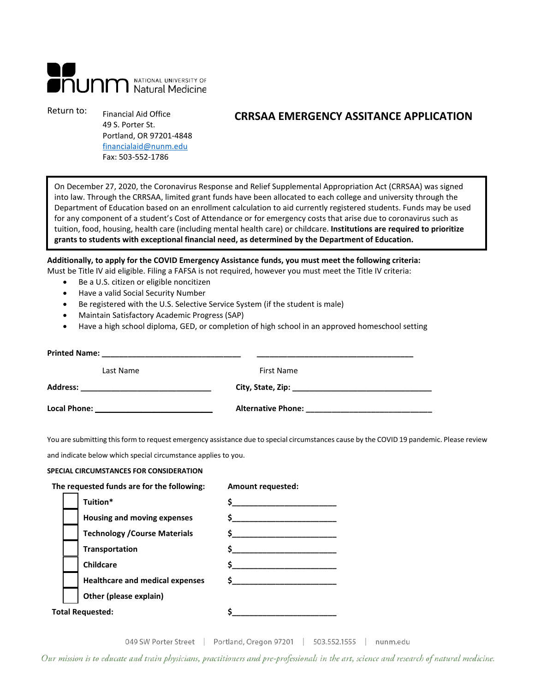# **nunn** National UNIVERSITY OF

Return to: Financial Aid Office 49 S. Porter St. Portland, OR 97201-4848 [financialaid@nunm.edu](mailto:financialaid@nunm.edu) Fax: 503-552-1786

## **CRRSAA EMERGENCY ASSITANCE APPLICATION**

On December 27, 2020, the Coronavirus Response and Relief Supplemental Appropriation Act (CRRSAA) was signed into law. Through the CRRSAA, limited grant funds have been allocated to each college and university through the Department of Education based on an enrollment calculation to aid currently registered students. Funds may be used for any component of a student's Cost of Attendance or for emergency costs that arise due to coronavirus such as tuition, food, housing, health care (including mental health care) or childcare. **Institutions are required to prioritize grants to students with exceptional financial need, as determined by the Department of Education.**

**Additionally, to apply for the COVID Emergency Assistance funds, you must meet the following criteria:** Must be Title IV aid eligible. Filing a FAFSA is not required, however you must meet the Title IV criteria:

- Be a U.S. citizen or eligible noncitizen
- Have a valid Social Security Number
- Be registered with the U.S. Selective Service System (if the student is male)
- Maintain Satisfactory Academic Progress (SAP)
- Have a high school diploma, GED, or completion of high school in an approved homeschool setting

| <b>Printed Name:</b>                                                             |            |  |  |  |
|----------------------------------------------------------------------------------|------------|--|--|--|
| Last Name                                                                        | First Name |  |  |  |
| <b>Address:</b><br><u> 1989 - Johann Stein, mars an deutscher Stein († 1958)</u> |            |  |  |  |
|                                                                                  |            |  |  |  |

You are submitting this form to request emergency assistance due to special circumstances cause by the COVID 19 pandemic. Please review

and indicate below which special circumstance applies to you.

### **SPECIAL CIRCUMSTANCES FOR CONSIDERATION**

|  | The requested funds are for the following: | <b>Amount requested:</b> |  |  |  |
|--|--------------------------------------------|--------------------------|--|--|--|
|  | Tuition*                                   |                          |  |  |  |
|  | Housing and moving expenses                | \$                       |  |  |  |
|  | <b>Technology / Course Materials</b>       |                          |  |  |  |
|  | Transportation                             |                          |  |  |  |
|  | <b>Childcare</b>                           |                          |  |  |  |
|  | <b>Healthcare and medical expenses</b>     |                          |  |  |  |
|  | Other (please explain)                     |                          |  |  |  |
|  | <b>Total Requested:</b>                    |                          |  |  |  |
|  |                                            |                          |  |  |  |

049 SW Porter Street | Portland, Oregon 97201 | 503.552.1555 | nunm.edu

Our mission is to educate and train physicians, practitioners and pre-professionals in the art, science and research of natural medicine.